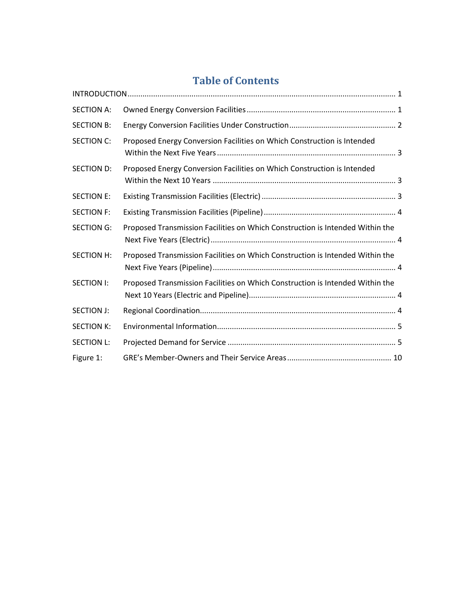# **Table of Contents**

| <b>SECTION A:</b> |                                                                               |
|-------------------|-------------------------------------------------------------------------------|
| <b>SECTION B:</b> |                                                                               |
| <b>SECTION C:</b> | Proposed Energy Conversion Facilities on Which Construction is Intended       |
| <b>SECTION D:</b> | Proposed Energy Conversion Facilities on Which Construction is Intended       |
| <b>SECTION E:</b> |                                                                               |
| <b>SECTION F:</b> |                                                                               |
| <b>SECTION G:</b> | Proposed Transmission Facilities on Which Construction is Intended Within the |
| <b>SECTION H:</b> | Proposed Transmission Facilities on Which Construction is Intended Within the |
| <b>SECTION I:</b> | Proposed Transmission Facilities on Which Construction is Intended Within the |
| <b>SECTION J:</b> |                                                                               |
| <b>SECTION K:</b> |                                                                               |
| <b>SECTION L:</b> |                                                                               |
| Figure 1:         |                                                                               |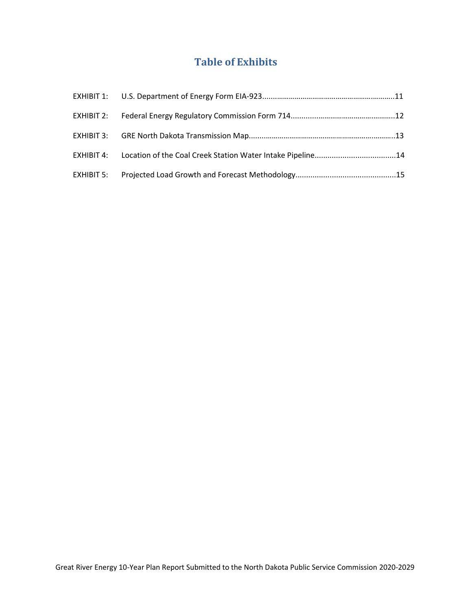# **Table of Exhibits**

| EXHIBIT 4: Location of the Coal Creek Station Water Intake Pipeline14 |  |
|-----------------------------------------------------------------------|--|
|                                                                       |  |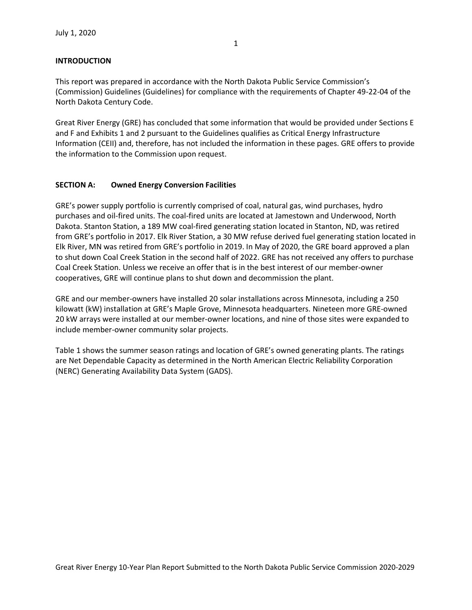#### <span id="page-2-0"></span>**INTRODUCTION**

This report was prepared in accordance with the North Dakota Public Service Commission's (Commission) Guidelines (Guidelines) for compliance with the requirements of Chapter 49-22-04 of the North Dakota Century Code.

Great River Energy (GRE) has concluded that some information that would be provided under Sections E and F and Exhibits 1 and 2 pursuant to the Guidelines qualifies as Critical Energy Infrastructure Information (CEII) and, therefore, has not included the information in these pages. GRE offers to provide the information to the Commission upon request.

#### <span id="page-2-1"></span>**SECTION A: Owned Energy Conversion Facilities**

GRE's power supply portfolio is currently comprised of coal, natural gas, wind purchases, hydro purchases and oil-fired units. The coal-fired units are located at Jamestown and Underwood, North Dakota. Stanton Station, a 189 MW coal-fired generating station located in Stanton, ND, was retired from GRE's portfolio in 2017. Elk River Station, a 30 MW refuse derived fuel generating station located in Elk River, MN was retired from GRE's portfolio in 2019. In May of 2020, the GRE board approved a plan to shut down Coal Creek Station in the second half of 2022. GRE has not received any offers to purchase Coal Creek Station. Unless we receive an offer that is in the best interest of our member-owner cooperatives, GRE will continue plans to shut down and decommission the plant.

GRE and our member-owners have installed 20 solar installations across Minnesota, including a 250 kilowatt (kW) installation at GRE's Maple Grove, Minnesota headquarters. Nineteen more GRE-owned 20 kW arrays were installed at our member-owner locations, and nine of those sites were expanded to include member-owner community solar projects.

Table 1 shows the summer season ratings and location of GRE's owned generating plants. The ratings are Net Dependable Capacity as determined in the North American Electric Reliability Corporation (NERC) Generating Availability Data System (GADS).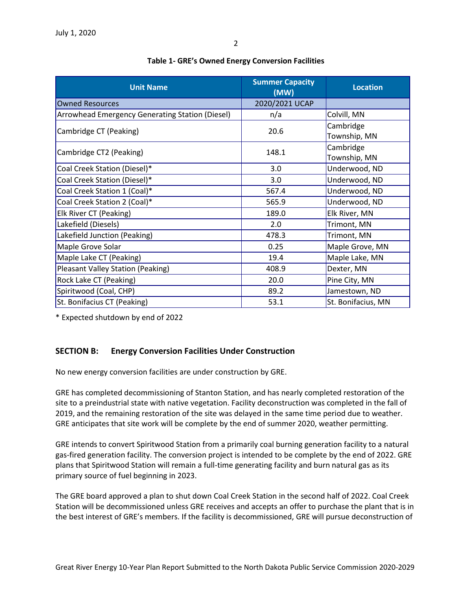| <b>Unit Name</b>                                | <b>Summer Capacity</b><br>(MW) | <b>Location</b>           |  |
|-------------------------------------------------|--------------------------------|---------------------------|--|
| <b>Owned Resources</b>                          | 2020/2021 UCAP                 |                           |  |
| Arrowhead Emergency Generating Station (Diesel) | n/a                            | Colvill, MN               |  |
| Cambridge CT (Peaking)                          | 20.6                           | Cambridge<br>Township, MN |  |
| Cambridge CT2 (Peaking)                         | 148.1                          | Cambridge<br>Township, MN |  |
| Coal Creek Station (Diesel)*                    | 3.0                            | Underwood, ND             |  |
| Coal Creek Station (Diesel)*                    | 3.0                            | Underwood, ND             |  |
| Coal Creek Station 1 (Coal)*                    | 567.4                          | Underwood, ND             |  |
| Coal Creek Station 2 (Coal)*                    | 565.9                          | Underwood, ND             |  |
| Elk River CT (Peaking)                          | 189.0                          | Elk River, MN             |  |
| Lakefield (Diesels)                             | 2.0                            | Trimont, MN               |  |
| Lakefield Junction (Peaking)                    | 478.3                          | Trimont, MN               |  |
| Maple Grove Solar                               | 0.25                           | Maple Grove, MN           |  |
| Maple Lake CT (Peaking)                         | 19.4                           | Maple Lake, MN            |  |
| Pleasant Valley Station (Peaking)               | 408.9                          | Dexter, MN                |  |
| Rock Lake CT (Peaking)                          | 20.0                           | Pine City, MN             |  |
| Spiritwood (Coal, CHP)                          | 89.2                           | Jamestown, ND             |  |
| St. Bonifacius CT (Peaking)                     | 53.1                           | St. Bonifacius, MN        |  |

#### **Table 1- GRE's Owned Energy Conversion Facilities**

\* Expected shutdown by end of 2022

# <span id="page-3-0"></span>**SECTION B: Energy Conversion Facilities Under Construction**

No new energy conversion facilities are under construction by GRE.

GRE has completed decommissioning of Stanton Station, and has nearly completed restoration of the site to a preindustrial state with native vegetation. Facility deconstruction was completed in the fall of 2019, and the remaining restoration of the site was delayed in the same time period due to weather. GRE anticipates that site work will be complete by the end of summer 2020, weather permitting.

GRE intends to convert Spiritwood Station from a primarily coal burning generation facility to a natural gas-fired generation facility. The conversion project is intended to be complete by the end of 2022. GRE plans that Spiritwood Station will remain a full-time generating facility and burn natural gas as its primary source of fuel beginning in 2023.

The GRE board approved a plan to shut down Coal Creek Station in the second half of 2022. Coal Creek Station will be decommissioned unless GRE receives and accepts an offer to purchase the plant that is in the best interest of GRE's members. If the facility is decommissioned, GRE will pursue deconstruction of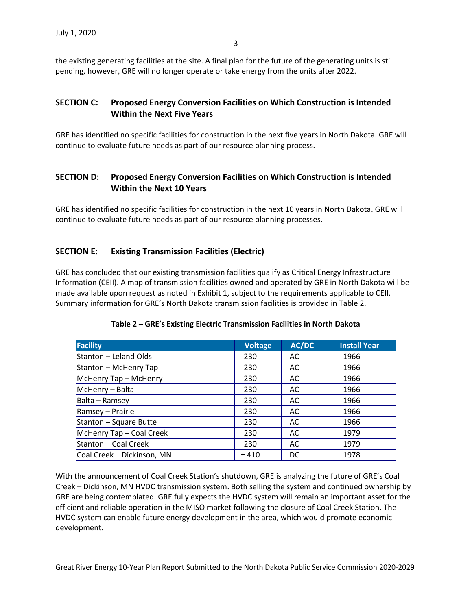the existing generating facilities at the site. A final plan for the future of the generating units is still pending, however, GRE will no longer operate or take energy from the units after 2022.

### <span id="page-4-0"></span>**SECTION C: Proposed Energy Conversion Facilities on Which Construction is Intended Within the Next Five Years**

GRE has identified no specific facilities for construction in the next five years in North Dakota. GRE will continue to evaluate future needs as part of our resource planning process.

# <span id="page-4-1"></span>**SECTION D: Proposed Energy Conversion Facilities on Which Construction is Intended Within the Next 10 Years**

GRE has identified no specific facilities for construction in the next 10 years in North Dakota. GRE will continue to evaluate future needs as part of our resource planning processes.

### **SECTION E: Existing Transmission Facilities (Electric)**

GRE has concluded that our existing transmission facilities qualify as Critical Energy Infrastructure Information (CEII). A map of transmission facilities owned and operated by GRE in North Dakota will be made available upon request as noted in Exhibit 1, subject to the requirements applicable to CEII. Summary information for GRE's North Dakota transmission facilities is provided in Table 2.

| <b>Facility</b>            | <b>Voltage</b> | AC/DC | <b>Install Year</b> |
|----------------------------|----------------|-------|---------------------|
| Stanton – Leland Olds      | 230            | AC    | 1966                |
| Stanton - McHenry Tap      | 230            | AC    | 1966                |
| McHenry Tap - McHenry      | 230            | AC    | 1966                |
| McHenry - Balta            | 230            | AC    | 1966                |
| Balta - Ramsey             | 230            | AC    | 1966                |
| Ramsey - Prairie           | 230            | AC    | 1966                |
| Stanton - Square Butte     | 230            | AC    | 1966                |
| McHenry Tap - Coal Creek   | 230            | AC    | 1979                |
| Stanton – Coal Creek       | 230            | AC    | 1979                |
| Coal Creek - Dickinson, MN | ± 410          | DC    | 1978                |

#### <span id="page-4-2"></span>**Table 2 – GRE's Existing Electric Transmission Facilities in North Dakota**

With the announcement of Coal Creek Station's shutdown, GRE is analyzing the future of GRE's Coal Creek – Dickinson, MN HVDC transmission system. Both selling the system and continued ownership by GRE are being contemplated. GRE fully expects the HVDC system will remain an important asset for the efficient and reliable operation in the MISO market following the closure of Coal Creek Station. The HVDC system can enable future energy development in the area, which would promote economic development.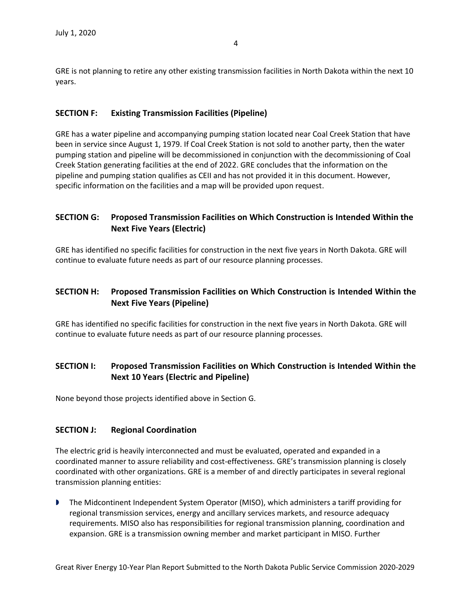GRE is not planning to retire any other existing transmission facilities in North Dakota within the next 10 years.

### <span id="page-5-0"></span>**SECTION F: Existing Transmission Facilities (Pipeline)**

GRE has a water pipeline and accompanying pumping station located near Coal Creek Station that have been in service since August 1, 1979. If Coal Creek Station is not sold to another party, then the water pumping station and pipeline will be decommissioned in conjunction with the decommissioning of Coal Creek Station generating facilities at the end of 2022. GRE concludes that the information on the pipeline and pumping station qualifies as CEII and has not provided it in this document. However, specific information on the facilities and a map will be provided upon request.

# <span id="page-5-1"></span>**SECTION G: Proposed Transmission Facilities on Which Construction is Intended Within the Next Five Years (Electric)**

GRE has identified no specific facilities for construction in the next five years in North Dakota. GRE will continue to evaluate future needs as part of our resource planning processes.

# <span id="page-5-2"></span>**SECTION H: Proposed Transmission Facilities on Which Construction is Intended Within the Next Five Years (Pipeline)**

GRE has identified no specific facilities for construction in the next five years in North Dakota. GRE will continue to evaluate future needs as part of our resource planning processes.

## <span id="page-5-3"></span>**SECTION I: Proposed Transmission Facilities on Which Construction is Intended Within the Next 10 Years (Electric and Pipeline)**

None beyond those projects identified above in Section G.

### <span id="page-5-4"></span>**SECTION J: Regional Coordination**

The electric grid is heavily interconnected and must be evaluated, operated and expanded in a coordinated manner to assure reliability and cost-effectiveness. GRE's transmission planning is closely coordinated with other organizations. GRE is a member of and directly participates in several regional transmission planning entities:

 The Midcontinent Independent System Operator (MISO), which administers a tariff providing for regional transmission services, energy and ancillary services markets, and resource adequacy requirements. MISO also has responsibilities for regional transmission planning, coordination and expansion. GRE is a transmission owning member and market participant in MISO. Further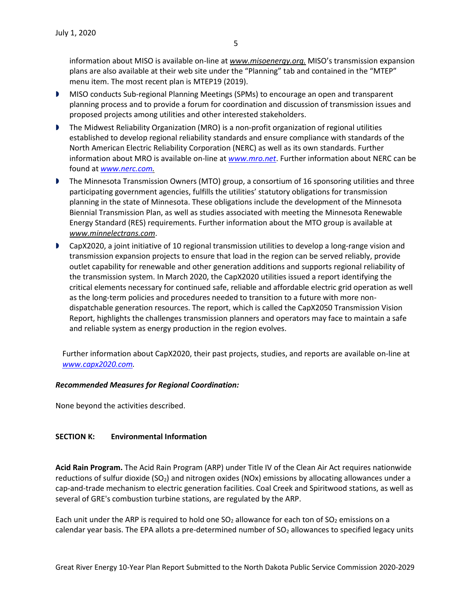5

information about MISO is available on-line at *www.misoenergy.org.* MISO's transmission expansion plans are also available at their web site under the "Planning" tab and contained in the "MTEP" menu item. The most recent plan is MTEP19 (2019).

- **MISO conducts Sub-regional Planning Meetings (SPMs) to encourage an open and transparent** planning process and to provide a forum for coordination and discussion of transmission issues and proposed projects among utilities and other interested stakeholders.
- **The Midwest Reliability Organization (MRO) is a non-profit organization of regional utilities** established to develop regional reliability standards and ensure compliance with standards of the North American Electric Reliability Corporation (NERC) as well as its own standards. Further information about MRO is available on-line at *www[.mro.net](http://www.midwestreliability.org/)*. Further information about NERC can be found at *[www.nerc.com.](http://www.nerc.com/)*
- **The Minnesota Transmission Owners (MTO) group, a consortium of 16 sponsoring utilities and three** participating government agencies, fulfills the utilities' statutory obligations for transmission planning in the state of Minnesota. These obligations include the development of the Minnesota Biennial Transmission Plan, as well as studies associated with meeting the Minnesota Renewable Energy Standard (RES) requirements. Further information about the MTO group is available at *www.minnelectrans.com*.
- CapX2020, a joint initiative of 10 regional transmission utilities to develop a long-range vision and transmission expansion projects to ensure that load in the region can be served reliably, provide outlet capability for renewable and other generation additions and supports regional reliability of the transmission system. In March 2020, the CapX2020 utilities issued a report identifying the critical elements necessary for continued safe, reliable and affordable electric grid operation as well as the long-term policies and procedures needed to transition to a future with more nondispatchable generation resources. The report, which is called the CapX2050 Transmission Vision Report, highlights the challenges transmission planners and operators may face to maintain a safe and reliable system as energy production in the region evolves.

Further information about CapX2020, their past projects, studies, and reports are available on-line at *[www.capx2020.com.](http://www.capx2020.com/)*

#### *Recommended Measures for Regional Coordination:*

None beyond the activities described.

### <span id="page-6-0"></span>**SECTION K: Environmental Information**

**Acid Rain Program.** The Acid Rain Program (ARP) under Title IV of the Clean Air Act requires nationwide reductions of sulfur dioxide (SO<sub>2</sub>) and nitrogen oxides (NOx) emissions by allocating allowances under a cap-and-trade mechanism to electric generation facilities. Coal Creek and Spiritwood stations, as well as several of GRE's combustion turbine stations, are regulated by the ARP.

Each unit under the ARP is required to hold one  $SO<sub>2</sub>$  allowance for each ton of  $SO<sub>2</sub>$  emissions on a calendar year basis. The EPA allots a pre-determined number of SO<sub>2</sub> allowances to specified legacy units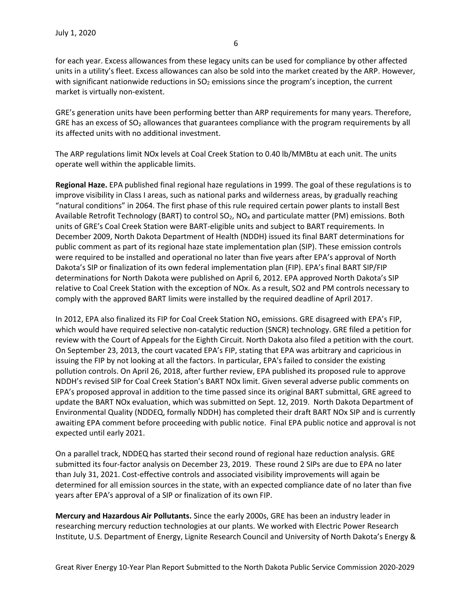for each year. Excess allowances from these legacy units can be used for compliance by other affected units in a utility's fleet. Excess allowances can also be sold into the market created by the ARP. However, with significant nationwide reductions in  $SO<sub>2</sub>$  emissions since the program's inception, the current market is virtually non-existent.

GRE's generation units have been performing better than ARP requirements for many years. Therefore, GRE has an excess of  $SO<sub>2</sub>$  allowances that guarantees compliance with the program requirements by all its affected units with no additional investment.

The ARP regulations limit NOx levels at Coal Creek Station to 0.40 lb/MMBtu at each unit. The units operate well within the applicable limits.

**Regional Haze.** EPA published final regional haze regulations in 1999. The goal of these regulations is to improve visibility in Class I areas, such as national parks and wilderness areas, by gradually reaching "natural conditions" in 2064. The first phase of this rule required certain power plants to install Best Available Retrofit Technology (BART) to control  $SO_2$ , NO<sub>x</sub> and particulate matter (PM) emissions. Both units of GRE's Coal Creek Station were BART-eligible units and subject to BART requirements. In December 2009, North Dakota Department of Health (NDDH) issued its final BART determinations for public comment as part of its regional haze state implementation plan (SIP). These emission controls were required to be installed and operational no later than five years after EPA's approval of North Dakota's SIP or finalization of its own federal implementation plan (FIP). EPA's final BART SIP/FIP determinations for North Dakota were published on April 6, 2012. EPA approved North Dakota's SIP relative to Coal Creek Station with the exception of NOx. As a result, SO2 and PM controls necessary to comply with the approved BART limits were installed by the required deadline of April 2017.

In 2012, EPA also finalized its FIP for Coal Creek Station  $NO<sub>x</sub>$  emissions. GRE disagreed with EPA's FIP, which would have required selective non-catalytic reduction (SNCR) technology. GRE filed a petition for review with the Court of Appeals for the Eighth Circuit. North Dakota also filed a petition with the court. On September 23, 2013, the court vacated EPA's FIP, stating that EPA was arbitrary and capricious in issuing the FIP by not looking at all the factors. In particular, EPA's failed to consider the existing pollution controls. On April 26, 2018, after further review, EPA published its proposed rule to approve NDDH's revised SIP for Coal Creek Station's BART NOx limit. Given several adverse public comments on EPA's proposed approval in addition to the time passed since its original BART submittal, GRE agreed to update the BART NOx evaluation, which was submitted on Sept. 12, 2019. North Dakota Department of Environmental Quality (NDDEQ, formally NDDH) has completed their draft BART NOx SIP and is currently awaiting EPA comment before proceeding with public notice. Final EPA public notice and approval is not expected until early 2021.

On a parallel track, NDDEQ has started their second round of regional haze reduction analysis. GRE submitted its four-factor analysis on December 23, 2019. These round 2 SIPs are due to EPA no later than July 31, 2021. Cost-effective controls and associated visibility improvements will again be determined for all emission sources in the state, with an expected compliance date of no later than five years after EPA's approval of a SIP or finalization of its own FIP.

**Mercury and Hazardous Air Pollutants.** Since the early 2000s, GRE has been an industry leader in researching mercury reduction technologies at our plants. We worked with Electric Power Research Institute, U.S. Department of Energy, Lignite Research Council and University of North Dakota's Energy &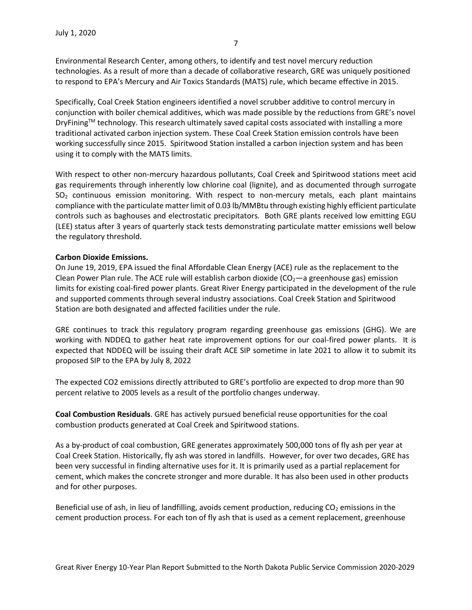Environmental Research Center, among others, to identify and test novel mercury reduction technologies. As a result of more than a decade of collaborative research, GRE was uniquely positioned to respond to EPA's Mercury and Air Toxics Standards (MATS) rule, which became effective in 2015.

Specifically, Coal Creek Station engineers identified a novel scrubber additive to control mercury in conjunction with boiler chemical additives, which was made possible by the reductions from GRE's novel DryFining™ technology. This research ultimately saved capital costs associated with installing a more traditional activated carbon injection system. These Coal Creek Station emission controls have been working successfully since 2015. Spiritwood Station installed a carbon injection system and has been using it to comply with the MATS limits.

With respect to other non-mercury hazardous pollutants, Coal Creek and Spiritwood stations meet acid gas requirements through inherently low chlorine coal (lignite), and as documented through surrogate  $SO<sub>2</sub>$  continuous emission monitoring. With respect to non-mercury metals, each plant maintains compliance with the particulate matter limit of 0.03 lb/MMBtu through existing highly efficient particulate controls such as baghouses and electrostatic precipitators. Both GRE plants received low emitting EGU (LEE) status after 3 years of quarterly stack tests demonstrating particulate matter emissions well below the regulatory threshold.

#### **Carbon Dioxide Emissions.**

On June 19, 2019, EPA issued the final Affordable Clean Energy (ACE) rule as the replacement to the Clean Power Plan rule. The ACE rule will establish carbon dioxide ( $CO<sub>2</sub>$ —a greenhouse gas) emission limits for existing coal-fired power plants. Great River Energy participated in the development of the rule and supported comments through several industry associations. Coal Creek Station and Spiritwood Station are both designated and affected facilities under the rule.

GRE continues to track this regulatory program regarding greenhouse gas emissions (GHG). We are working with NDDEQ to gather heat rate improvement options for our coal-fired power plants. It is expected that NDDEQ will be issuing their draft ACE SIP sometime in late 2021 to allow it to submit its proposed SIP to the EPA by July 8, 2022

The expected CO2 emissions directly attributed to GRE's portfolio are expected to drop more than 90 percent relative to 2005 levels as a result of the portfolio changes underway.

**Coal Combustion Residuals**. GRE has actively pursued beneficial reuse opportunities for the coal combustion products generated at Coal Creek and Spiritwood stations.

As a by-product of coal combustion, GRE generates approximately 500,000 tons of fly ash per year at Coal Creek Station. Historically, fly ash was stored in landfills. However, for over two decades, GRE has been very successful in finding alternative uses for it. It is primarily used as a partial replacement for cement, which makes the concrete stronger and more durable. It has also been used in other products and for other purposes.

Beneficial use of ash, in lieu of landfilling, avoids cement production, reducing  $CO<sub>2</sub>$  emissions in the cement production process. For each ton of fly ash that is used as a cement replacement, greenhouse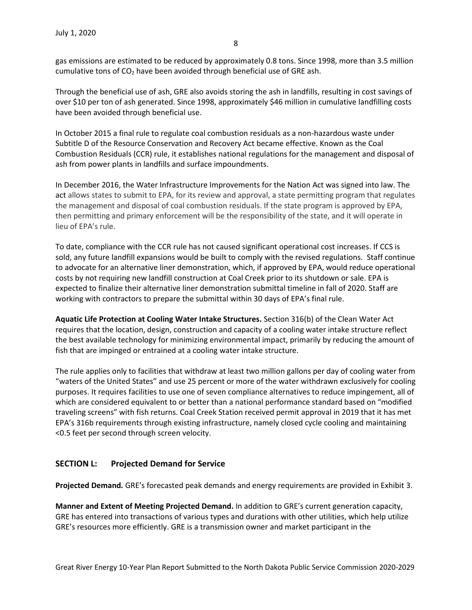gas emissions are estimated to be reduced by approximately 0.8 tons. Since 1998, more than 3.5 million cumulative tons of  $CO<sub>2</sub>$  have been avoided through beneficial use of GRE ash.

Through the beneficial use of ash, GRE also avoids storing the ash in landfills, resulting in cost savings of over \$10 per ton of ash generated. Since 1998, approximately \$46 million in cumulative landfilling costs have been avoided through beneficial use.

In October 2015 a final rule to regulate coal combustion residuals as a non-hazardous waste under Subtitle D of the Resource Conservation and Recovery Act became effective. Known as the Coal Combustion Residuals (CCR) rule, it establishes national regulations for the management and disposal of ash from power plants in landfills and surface impoundments.

In December 2016, the Water Infrastructure Improvements for the Nation Act was signed into law. The act allows states to submit to EPA, for its review and approval, a state permitting program that regulates the management and disposal of coal combustion residuals. If the state program is approved by EPA, then permitting and primary enforcement will be the responsibility of the state, and it will operate in lieu of EPA's rule.

To date, compliance with the CCR rule has not caused significant operational cost increases. If CCS is sold, any future landfill expansions would be built to comply with the revised regulations. Staff continue to advocate for an alternative liner demonstration, which, if approved by EPA, would reduce operational costs by not requiring new landfill construction at Coal Creek prior to its shutdown or sale. EPA is expected to finalize their alternative liner demonstration submittal timeline in fall of 2020. Staff are working with contractors to prepare the submittal within 30 days of EPA's final rule.

**Aquatic Life Protection at Cooling Water Intake Structures.** Section 316(b) of the Clean Water Act requires that the location, design, construction and capacity of a cooling water intake structure reflect the best available technology for minimizing environmental impact, primarily by reducing the amount of fish that are impinged or entrained at a cooling water intake structure.

The rule applies only to facilities that withdraw at least two million gallons per day of cooling water from "waters of the United States" and use 25 percent or more of the water withdrawn exclusively for cooling purposes. It requires facilities to use one of seven compliance alternatives to reduce impingement, all of which are considered equivalent to or better than a national performance standard based on "modified traveling screens" with fish returns. Coal Creek Station received permit approval in 2019 that it has met EPA's 316b requirements through existing infrastructure, namely closed cycle cooling and maintaining <0.5 feet per second through screen velocity.

# **SECTION L: Projected Demand for Service**

**Projected Demand***.* GRE's forecasted peak demands and energy requirements are provided in Exhibit 3.

**Manner and Extent of Meeting Projected Demand.** In addition to GRE's current generation capacity, GRE has entered into transactions of various types and durations with other utilities, which help utilize GRE's resources more efficiently. GRE is a transmission owner and market participant in the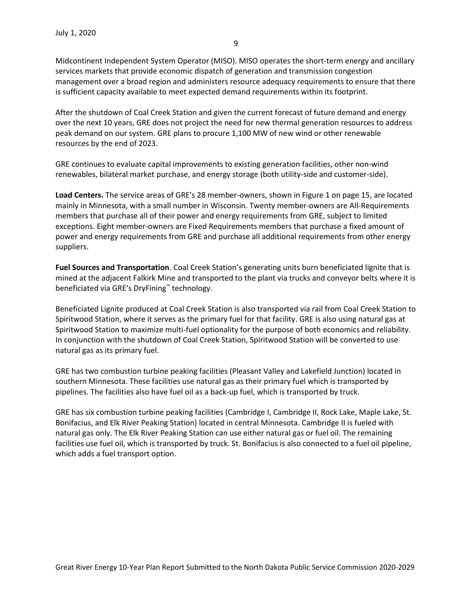Midcontinent Independent System Operator (MISO). MISO operates the short-term energy and ancillary services markets that provide economic dispatch of generation and transmission congestion management over a broad region and administers resource adequacy requirements to ensure that there is sufficient capacity available to meet expected demand requirements within its footprint.

After the shutdown of Coal Creek Station and given the current forecast of future demand and energy over the next 10 years, GRE does not project the need for new thermal generation resources to address peak demand on our system. GRE plans to procure 1,100 MW of new wind or other renewable resources by the end of 2023.

GRE continues to evaluate capital improvements to existing generation facilities, other non-wind renewables, bilateral market purchase, and energy storage (both utility-side and customer-side).

**Load Centers.** The service areas of GRE's 28 member-owners, shown in Figure 1 on page 15, are located mainly in Minnesota, with a small number in Wisconsin. Twenty member-owners are All-Requirements members that purchase all of their power and energy requirements from GRE, subject to limited exceptions. Eight member-owners are Fixed Requirements members that purchase a fixed amount of power and energy requirements from GRE and purchase all additional requirements from other energy suppliers.

**Fuel Sources and Transportation**. Coal Creek Station's generating units burn beneficiated lignite that is mined at the adjacent Falkirk Mine and transported to the plant via trucks and conveyor belts where it is beneficiated via GRE's DryFining™ technology.

Beneficiated Lignite produced at Coal Creek Station is also transported via rail from Coal Creek Station to Spiritwood Station, where it serves as the primary fuel for that facility. GRE is also using natural gas at Spiritwood Station to maximize multi-fuel optionality for the purpose of both economics and reliability. In conjunction with the shutdown of Coal Creek Station, Spiritwood Station will be converted to use natural gas as its primary fuel.

GRE has two combustion turbine peaking facilities (Pleasant Valley and Lakefield Junction) located in southern Minnesota. These facilities use natural gas as their primary fuel which is transported by pipelines. The facilities also have fuel oil as a back-up fuel, which is transported by truck.

GRE has six combustion turbine peaking facilities (Cambridge I, Cambridge II, Rock Lake, Maple Lake, St. Bonifacius, and Elk River Peaking Station) located in central Minnesota. Cambridge II is fueled with natural gas only. The Elk River Peaking Station can use either natural gas or fuel oil. The remaining facilities use fuel oil, which is transported by truck. St. Bonifacius is also connected to a fuel oil pipeline, which adds a fuel transport option.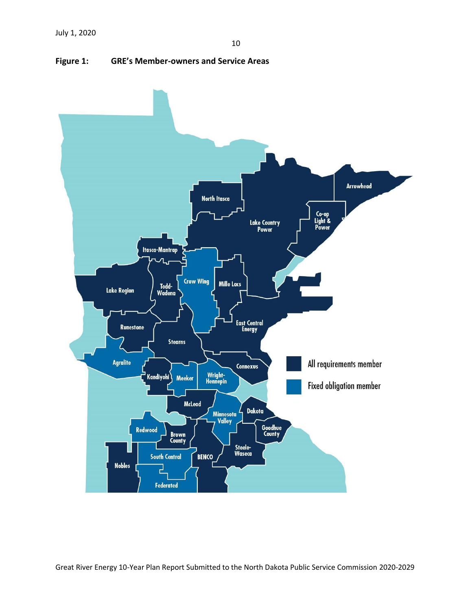

<span id="page-11-0"></span>**Figure 1: GRE's Member-owners and Service Areas**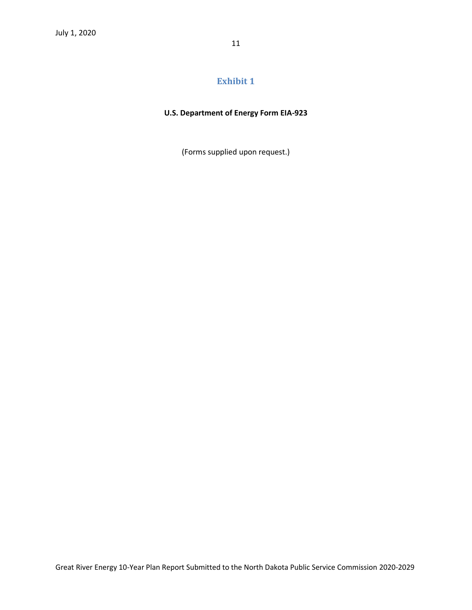# **U.S. Department of Energy Form EIA-923**

(Forms supplied upon request.)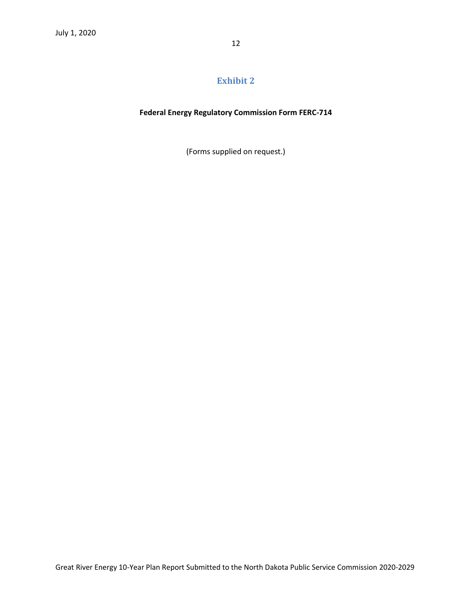## **Federal Energy Regulatory Commission Form FERC-714**

(Forms supplied on request.)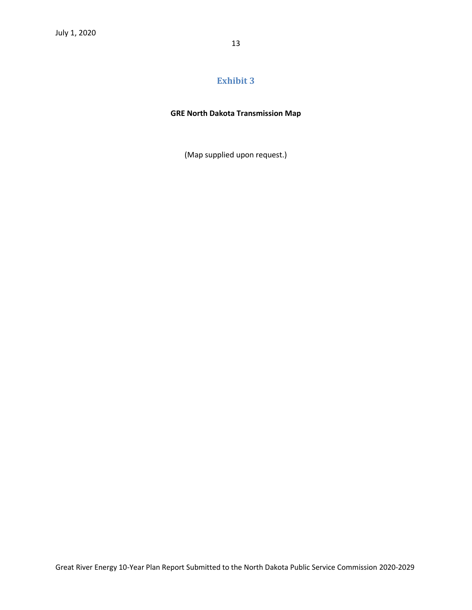# **GRE North Dakota Transmission Map**

(Map supplied upon request.)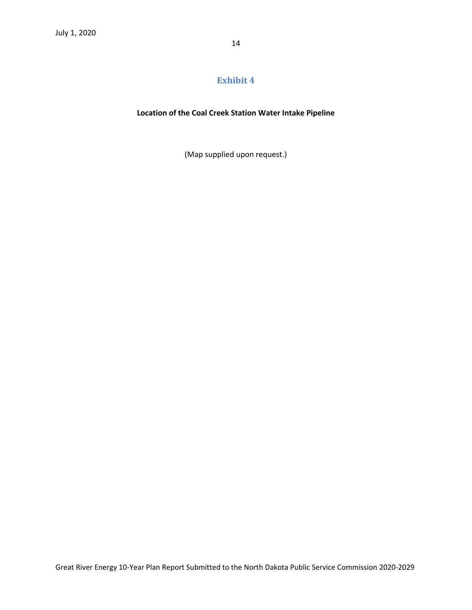#### **Location of the Coal Creek Station Water Intake Pipeline**

(Map supplied upon request.)